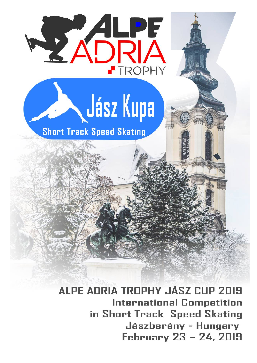

ALPE ADRIA TROPHY JÁSZ CUP 2019 **International Competition** in Short Track Speed Skating Jászberény - Hungary February 23 - 24, 2019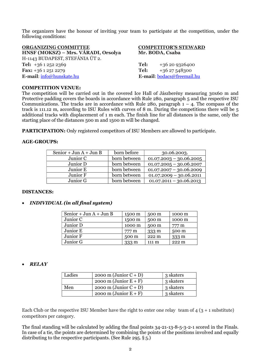The organizers have the honour of inviting your team to participate at the competition, under the following conditions:

| ORGANIZING COMMITTEE<br>HNSF (MOKSZ) – Mrs. VÁRADI, Orsolya |      | <b>COMPETITOR'S STEWARD</b><br>Mr. BODA, Csaba |
|-------------------------------------------------------------|------|------------------------------------------------|
| H-1143 BUDAPEST, STEFÁNIA ÚT 2.                             |      |                                                |
| Tel: $+3612522369$                                          | Tel: | +36 20 9326400                                 |
| Fax: $+3612512279$                                          | Tel: | $+3627548300$                                  |
| E-mail: info@hunskate.hu                                    |      | E-mail: bodacs@freemail.hu                     |

#### **COMPETITION VENUE:**

The competition will be carried out in the covered Ice Hall of Jászberény measuring 30x60 m and Protective padding covers the boards in accordance with Rule 280, paragraph 5 and the respective ISU Communications. The tracks are in accordance with Rule 280, paragraph  $1 - 4$ . The compass of the track is 111.12 m, according to ISU Rules with curves of 8 m. During the competitions there will be 5 additional tracks with displacement of 1 m each. The finish line for all distances is the same, only the starting place of the distances 500 m and 1500 m will be changed.

**PARTICIPATION:** Only registered competitors of ISU Members are allowed to participate.

#### **AGE-GROUPS:**

| Senior + Jun $A$ + Jun B | born before  | 30.06.2003.               |
|--------------------------|--------------|---------------------------|
| Junior C                 | born between | $01.07.2003 - 30.06.2005$ |
| Junior D                 | born between | $01.07.2005 - 30.06.2007$ |
| Junior E                 | born between | $01.07.2007 - 30.06.2009$ |
| Junior F                 | born between | $01.07.2009 - 30.06.2011$ |
| Junior G                 | born between | $01.07.2011 - 30.06.2013$ |

#### **DISTANCES:**

### x *INDIVIDUAL (in all final system)*

| Senior + Jun $A$ + Jun B | 1500 m | 500 m           | 1000 m           |
|--------------------------|--------|-----------------|------------------|
| Junior C                 | 1500 m | 500 m           | 1000 m           |
| Junior D                 | 1000 m | 500 m           | 777 m            |
| Junior E                 | 777 m  | $333 \text{ m}$ | 500 m            |
| Junior F                 | 500 m  | $222 \text{ m}$ | 333 m            |
| Junior G                 | 333 m  | 111 m           | 222 <sub>m</sub> |

### x *RELAY*

| Ladies | $2000 \text{ m}$ (Junior C + D) | 3 skaters |
|--------|---------------------------------|-----------|
|        | $2000 \text{ m}$ (Junior E + F) | 3 skaters |
| Men    | $2000 \text{ m}$ (Junior C + D) | 3 skaters |
|        | $2000 \text{ m}$ (Junior E + F) | 3 skaters |

Each Club or the respective ISU Member have the right to enter one relay team of  $4(3 + 1$  substitute) competitors per category.

The final standing will be calculated by adding the final points 34-21-13-8-5-3-2-1 scored in the Finals. In case of a tie, the points are determined by combining the points of the positions involved and equally distributing to the respective participants. (See Rule 295. § 5.)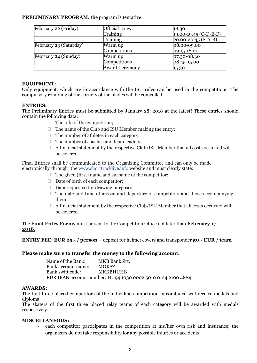# **PRELIMINARY PROGRAM:** the program is tentative

| February 22 (Friday)   | Official Draw         | 18.30                     |
|------------------------|-----------------------|---------------------------|
|                        | Training              | $19.00 - 19.45$ (C-D-E-F) |
|                        | Training              | $20.00 - 20.45(S-A-B)$    |
| February 23 (Saturday) | Warm up               | 08.00-09.00               |
|                        | Competitions          | $ 09.15 - 18.00$          |
| February 24 (Sunday)   | Warm up               | $ 07.30 - 08.30 $         |
|                        | Competitions          | $ 08.45 - 15.00$          |
|                        | <b>Award Ceremony</b> | 15.30                     |

## **EQUIPMENT:**

Only equipment, which are in accordance with the ISU rules can be used in the competitions. The compulsory rounding of the corners of the blades will be controlled.

### **ENTRIES:**

The Preliminary Entries must be submitted by January 28, 2018 at the latest! These entries should contain the following data:

- $\Box$  The title of the competition;
- $\Box$  The name of the Club and ISU Member making the entry;
- $\Box$  The number of athletes in each category;
- $\Box$  The number of coaches and team leaders;
- $\Box$  A financial statement by the respective Club/ISU Member that all costs occurred will be covered.

Final Entries shall be communicated to the Organizing Committee and can only be made electronically through the www.shorttracklive.info website and must clearly state:

- $\Box$  The given (first) name and surname of the competitor;
- $\Box$  Date of birth of each competitor;
- $\Box$  Data requested for drawing purposes;
- $\Box$  The date and time of arrival and departure of competitors and those accompanying them;
- $\Box$  A financial statement by the respective Club/ISU Member that all costs occurred will be covered.

The **Final Entry Forms** must be sent to the Competition Office not later than **February 17, 2018.** 

# **ENTRY FEE: EUR 25,- / person +** deposit for helmet covers and transponder **50,- EUR / team**

# **Please make sure to transfer the money to the following account:**

| Name of the Bank:  | MKB Bank Zrt,                                               |
|--------------------|-------------------------------------------------------------|
| Bank account name: | MOKSZ.                                                      |
| Bank swift code:   | <b>MKKBHUHB</b>                                             |
|                    | EUR IBAN account number: HU94 1030 0002 5010 0124 2100 4884 |

### **AWARDS:**

The first three placed competitors of the individual competition in combined will receive medals and diploma.

The skaters of the first three placed relay teams of each category will be awarded with medals respectively.

### **MISCELLANEOUS:**

each competitor participates in the competition at his/her own risk and insurance; the organizers do not take responsibility for any possible injuries or accidents